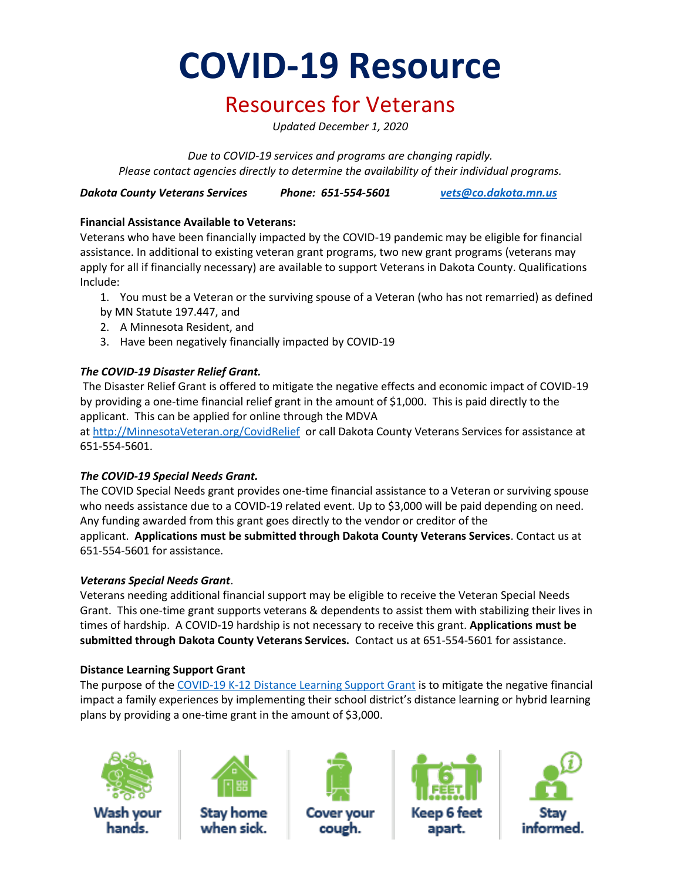**COVID-19 Resource**

### Resources for Veterans

*Updated December 1, 2020*

*Due to COVID-19 services and programs are changing rapidly. Please contact agencies directly to determine the availability of their individual programs.*

*Dakota County Veterans Services Phone: 651-554-5601 [vets@co.dakota.mn.us](mailto:vets@co.dakota.mn.us)*

#### **Financial Assistance Available to Veterans:**

Veterans who have been financially impacted by the COVID-19 pandemic may be eligible for financial assistance. In additional to existing veteran grant programs, two new grant programs (veterans may apply for all if financially necessary) are available to support Veterans in Dakota County. Qualifications Include:

- 1. You must be a Veteran or the surviving spouse of a Veteran (who has not remarried) as defined by MN Statute 197.447, and
- 2. A Minnesota Resident, and
- 3. Have been negatively financially impacted by COVID-19

#### *The COVID-19 Disaster Relief Grant.*

The Disaster Relief Grant is offered to mitigate the negative effects and economic impact of COVID-19 by providing a one-time financial relief grant in the amount of \$1,000.  This is paid directly to the applicant.  This can be applied for online through the MDVA

at [http://MinnesotaVeteran.org/CovidRelief](http://minnesotaveteran.org/CovidRelief) or call Dakota County Veterans Services for assistance at 651-554-5601.

#### *The COVID-19 Special Needs Grant.*

The COVID Special Needs grant provides one-time financial assistance to a Veteran or surviving spouse who needs assistance due to a COVID-19 related event. Up to \$3,000 will be paid depending on need. Any funding awarded from this grant goes directly to the vendor or creditor of the applicant.  **Applications must be submitted through Dakota County Veterans Services**. Contact us at 651-554-5601 for assistance.

#### *Veterans Special Needs Grant*.

Veterans needing additional financial support may be eligible to receive the Veteran Special Needs Grant. This one-time grant supports veterans & dependents to assist them with stabilizing their lives in times of hardship. A COVID-19 hardship is not necessary to receive this grant. **Applications must be submitted through Dakota County Veterans Services.** Contact us at 651-554-5601 for assistance.

#### **Distance Learning Support Grant**

The purpose of the COVID-19 K-12 [Distance Learning Support Grant](https://mn.gov/mdva/assets/2020-09-11-dlsg-overview_tcm1066-446089.pdf) is to mitigate the negative financial impact a family experiences by implementing their school district's distance learning or hybrid learning plans by providing a one-time grant in the amount of \$3,000.





Stay home when sick